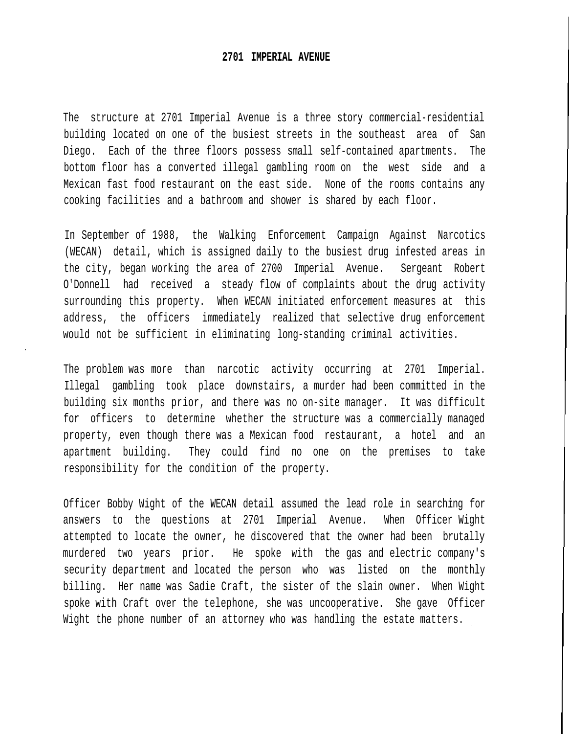## **2701 IMPERIAL AVENUE**

The structure at 2701 Imperial Avenue is a three story commercial-residential building located on one of the busiest streets in the southeast area of San Diego. Each of the three floors possess small self-contained apartments. The bottom floor has a converted illegal gambling room on the west side and a Mexican fast food restaurant on the east side. None of the rooms contains any cooking facilities and a bathroom and shower is shared by each floor.

In September of 1988, the Walking Enforcement Campaign Against Narcotics (WECAN) detail, which is assigned daily to the busiest drug infested areas in the city, began working the area of 2700 Imperial Avenue. Sergeant Robert O'Donnell had received a steady flow of complaints about the drug activity surrounding this property. When WECAN initiated enforcement measures at this address, the officers immediately realized that selective drug enforcement would not be sufficient in eliminating long-standing criminal activities.

The problem was more than narcotic activity occurring at 2701 Imperial. Illegal gambling took place downstairs, a murder had been committed in the building six months prior, and there was no on-site manager. It was difficult for officers to determine whether the structure was a commercially managed property, even though there was a Mexican food restaurant, a hotel and an apartment building. They could find no one on the premises to take responsibility for the condition of the property.

Officer Bobby Wight of the WECAN detail assumed the lead role in searching for answers to the questions at 2701 Imperial Avenue. When Officer Wight attempted to locate the owner, he discovered that the owner had been brutally murdered two years prior. He spoke with the gas and electric company's security department and located the person who was listed on the monthly billing. Her name was Sadie Craft, the sister of the slain owner. When Wight spoke with Craft over the telephone, she was uncooperative. She gave Officer Wight the phone number of an attorney who was handling the estate matters.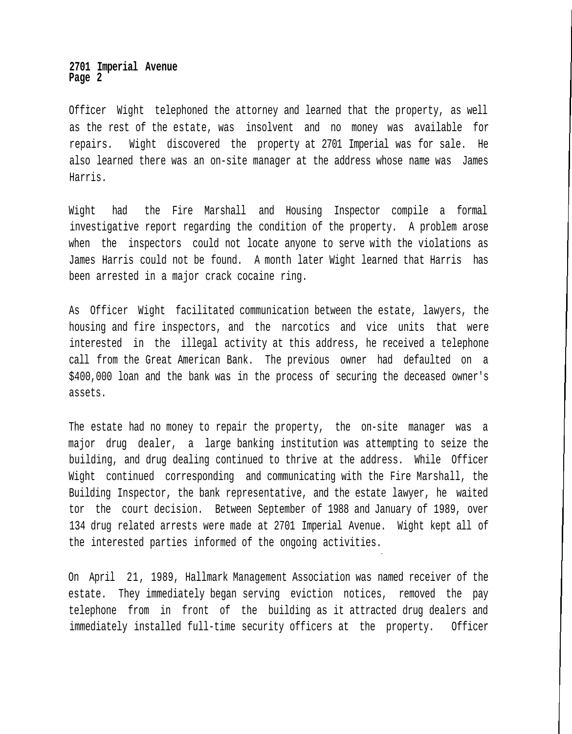## **2701 Imperial Avenue Page 2**

Officer Wight telephoned the attorney and learned that the property, as well as the rest of the estate, was insolvent and no money was available for repairs. Wight discovered the property at 2701 Imperial was for sale. He also learned there was an on-site manager at the address whose name was James Harris.

Wight had the Fire Marshall and Housing Inspector compile a formal investigative report regarding the condition of the property. A problem arose when the inspectors could not locate anyone to serve with the violations as James Harris could not be found. A month later Wight learned that Harris has been arrested in a major crack cocaine ring.

As Officer Wight facilitated communication between the estate, lawyers, the housing and fire inspectors, and the narcotics and vice units that were interested in the illegal activity at this address, he received a telephone call from the Great American Bank. The previous owner had defaulted on a \$400,000 loan and the bank was in the process of securing the deceased owner's assets.

The estate had no money to repair the property, the on-site manager was a major drug dealer, a large banking institution was attempting to seize the building, and drug dealing continued to thrive at the address. While Officer Wight continued corresponding and communicating with the Fire Marshall, the Building Inspector, the bank representative, and the estate lawyer, he waited tor the court decision. Between September of 1988 and January of 1989, over 134 drug related arrests were made at 2701 Imperial Avenue. Wight kept all of the interested parties informed of the ongoing activities.

On April 21, 1989, Hallmark Management Association was named receiver of the estate. They immediately began serving eviction notices, removed the pay telephone from in front of the building as it attracted drug dealers and immediately installed full-time security officers at the property. Officer